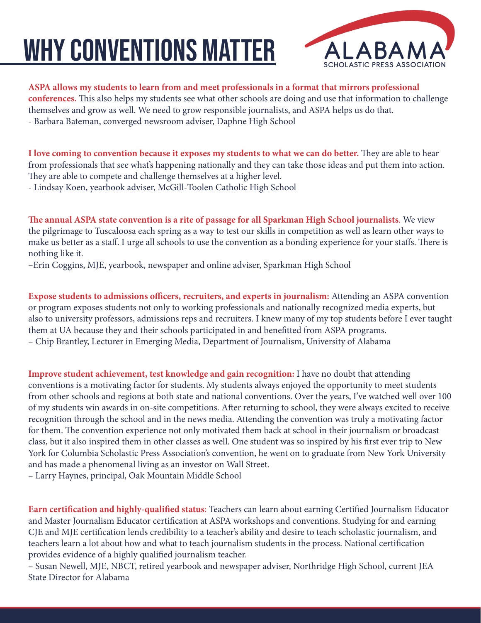## why conventions matter



## **ASPA allows my students to learn from and meet professionals in a format that mirrors professional**

**conferences.** This also helps my students see what other schools are doing and use that information to challenge themselves and grow as well. We need to grow responsible journalists, and ASPA helps us do that. - Barbara Bateman, converged newsroom adviser, Daphne High School

**I love coming to convention because it exposes my students to what we can do better.** They are able to hear from professionals that see what's happening nationally and they can take those ideas and put them into action. They are able to compete and challenge themselves at a higher level. - Lindsay Koen, yearbook adviser, McGill-Toolen Catholic High School

**The annual ASPA state convention is a rite of passage for all Sparkman High School journalists**. We view the pilgrimage to Tuscaloosa each spring as a way to test our skills in competition as well as learn other ways to make us better as a staff. I urge all schools to use the convention as a bonding experience for your staffs. There is nothing like it.

–Erin Coggins, MJE, yearbook, newspaper and online adviser, Sparkman High School

**Expose students to admissions officers, recruiters, and experts in journalism:** Attending an ASPA convention or program exposes students not only to working professionals and nationally recognized media experts, but also to university professors, admissions reps and recruiters. I knew many of my top students before I ever taught them at UA because they and their schools participated in and benefitted from ASPA programs. – Chip Brantley, Lecturer in Emerging Media, Department of Journalism, University of Alabama

**Improve student achievement, test knowledge and gain recognition:** I have no doubt that attending conventions is a motivating factor for students. My students always enjoyed the opportunity to meet students from other schools and regions at both state and national conventions. Over the years, I've watched well over 100 of my students win awards in on-site competitions. After returning to school, they were always excited to receive recognition through the school and in the news media. Attending the convention was truly a motivating factor for them. The convention experience not only motivated them back at school in their journalism or broadcast class, but it also inspired them in other classes as well. One student was so inspired by his first ever trip to New York for Columbia Scholastic Press Association's convention, he went on to graduate from New York University and has made a phenomenal living as an investor on Wall Street.

– Larry Haynes, principal, Oak Mountain Middle School

**Earn certification and highly-qualified status**: Teachers can learn about earning Certified Journalism Educator and Master Journalism Educator certification at ASPA workshops and conventions. Studying for and earning CJE and MJE certification lends credibility to a teacher's ability and desire to teach scholastic journalism, and teachers learn a lot about how and what to teach journalism students in the process. National certification provides evidence of a highly qualified journalism teacher.

– Susan Newell, MJE, NBCT, retired yearbook and newspaper adviser, Northridge High School, current JEA State Director for Alabama